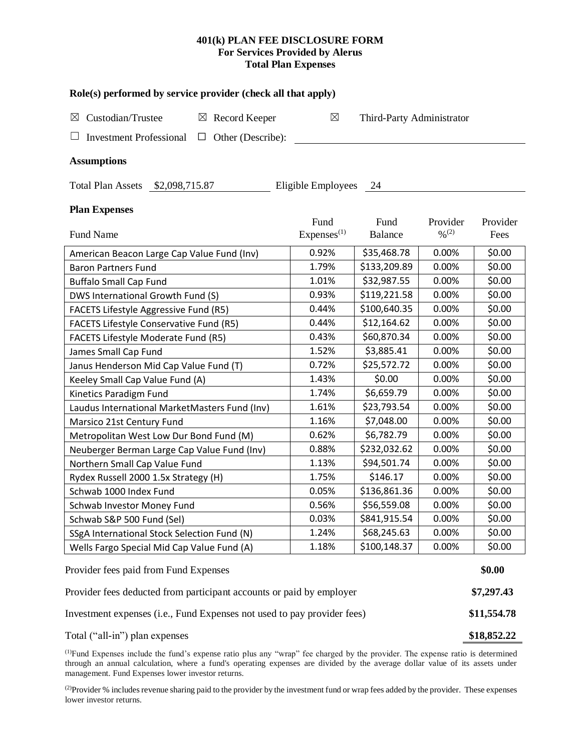# **401(k) PLAN FEE DISCLOSURE FORM For Services Provided by Alerus Total Plan Expenses**

| Role(s) performed by service provider (check all that apply)            |                        |                           |                              |          |  |  |  |  |  |  |
|-------------------------------------------------------------------------|------------------------|---------------------------|------------------------------|----------|--|--|--|--|--|--|
| $\boxtimes$<br>Custodian/Trustee<br>Record Keeper<br>$\boxtimes$        | $\boxtimes$            | Third-Party Administrator |                              |          |  |  |  |  |  |  |
| <b>Investment Professional</b><br>Other (Describe):<br>$\Box$           |                        |                           |                              |          |  |  |  |  |  |  |
| <b>Assumptions</b>                                                      |                        |                           |                              |          |  |  |  |  |  |  |
| Total Plan Assets \$2,098,715.87<br>Eligible Employees<br>24            |                        |                           |                              |          |  |  |  |  |  |  |
| <b>Plan Expenses</b>                                                    | Fund                   | Fund                      | Provider                     | Provider |  |  |  |  |  |  |
| Fund Name                                                               | Express <sup>(1)</sup> | <b>Balance</b>            | $\frac{0}{2}$ <sup>(2)</sup> | Fees     |  |  |  |  |  |  |
| American Beacon Large Cap Value Fund (Inv)                              | 0.92%                  | \$35,468.78               | 0.00%                        | \$0.00   |  |  |  |  |  |  |
| <b>Baron Partners Fund</b>                                              | 1.79%                  | \$133,209.89              | 0.00%                        | \$0.00   |  |  |  |  |  |  |
| <b>Buffalo Small Cap Fund</b>                                           | 1.01%                  | \$32,987.55               | 0.00%                        | \$0.00   |  |  |  |  |  |  |
| DWS International Growth Fund (S)                                       | 0.93%                  | \$119,221.58              | 0.00%                        | \$0.00   |  |  |  |  |  |  |
| FACETS Lifestyle Aggressive Fund (R5)                                   | 0.44%                  | \$100,640.35              | 0.00%                        | \$0.00   |  |  |  |  |  |  |
| <b>FACETS Lifestyle Conservative Fund (R5)</b>                          | 0.44%                  | \$12,164.62               | 0.00%                        | \$0.00   |  |  |  |  |  |  |
| FACETS Lifestyle Moderate Fund (R5)                                     | 0.43%                  | \$60,870.34               | 0.00%                        | \$0.00   |  |  |  |  |  |  |
| James Small Cap Fund                                                    | 1.52%                  | \$3,885.41                | 0.00%                        | \$0.00   |  |  |  |  |  |  |
| Janus Henderson Mid Cap Value Fund (T)                                  | 0.72%                  | \$25,572.72               | 0.00%                        | \$0.00   |  |  |  |  |  |  |
| Keeley Small Cap Value Fund (A)                                         | 1.43%                  | \$0.00                    | 0.00%                        | \$0.00   |  |  |  |  |  |  |
| Kinetics Paradigm Fund                                                  | 1.74%                  | \$6,659.79                | 0.00%                        | \$0.00   |  |  |  |  |  |  |
| Laudus International MarketMasters Fund (Inv)                           | 1.61%                  | \$23,793.54               | 0.00%                        | \$0.00   |  |  |  |  |  |  |
| Marsico 21st Century Fund                                               | 1.16%                  | \$7,048.00                | 0.00%                        | \$0.00   |  |  |  |  |  |  |
| Metropolitan West Low Dur Bond Fund (M)                                 | 0.62%                  | \$6,782.79                | 0.00%                        | \$0.00   |  |  |  |  |  |  |
| Neuberger Berman Large Cap Value Fund (Inv)                             | 0.88%                  | \$232,032.62              | 0.00%                        | \$0.00   |  |  |  |  |  |  |
| Northern Small Cap Value Fund                                           | 1.13%                  | \$94,501.74               | 0.00%                        | \$0.00   |  |  |  |  |  |  |
| Rydex Russell 2000 1.5x Strategy (H)                                    | 1.75%                  | \$146.17                  | 0.00%                        | \$0.00   |  |  |  |  |  |  |
| Schwab 1000 Index Fund                                                  | 0.05%                  | \$136,861.36              | 0.00%                        | \$0.00   |  |  |  |  |  |  |
| <b>Schwab Investor Money Fund</b>                                       | 0.56%                  | \$56,559.08               | 0.00%                        | \$0.00   |  |  |  |  |  |  |
| Schwab S&P 500 Fund (Sel)                                               | 0.03%                  | \$841,915.54              | 0.00%                        | \$0.00   |  |  |  |  |  |  |
| SSgA International Stock Selection Fund (N)                             | 1.24%                  | \$68,245.63               | 0.00%                        | \$0.00   |  |  |  |  |  |  |
| Wells Fargo Special Mid Cap Value Fund (A)                              | 1.18%                  | \$100,148.37              | 0.00%                        | \$0.00   |  |  |  |  |  |  |
| Provider fees paid from Fund Expenses                                   |                        |                           |                              |          |  |  |  |  |  |  |
| Provider fees deducted from participant accounts or paid by employer    |                        |                           |                              |          |  |  |  |  |  |  |
| Investment expenses (i.e., Fund Expenses not used to pay provider fees) |                        |                           |                              |          |  |  |  |  |  |  |

Total ("all-in") plan expenses **\$18,852.22** 

(1)Fund Expenses include the fund's expense ratio plus any "wrap" fee charged by the provider. The expense ratio is determined through an annual calculation, where a fund's operating expenses are divided by the average dollar value of its assets under management. Fund Expenses lower investor returns.

<sup>(2)</sup>Provider % includes revenue sharing paid to the provider by the investment fund or wrap fees added by the provider. These expenses lower investor returns.